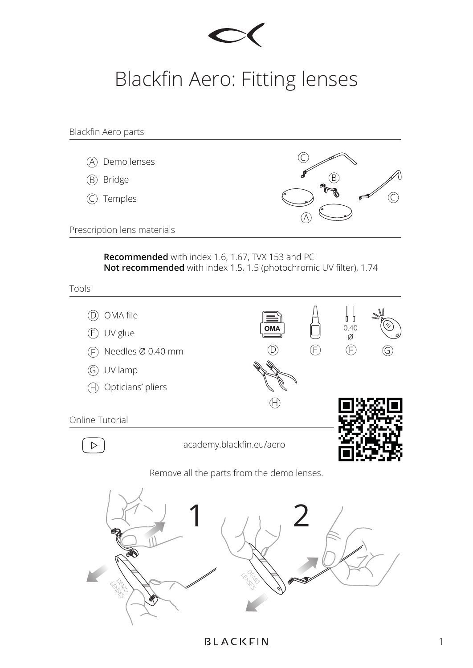

## Blackfin Aero: Fitting lenses

Blackfin Aero parts C A Demo lenses B B Bridge  $\widehat{C}$ C Temples A Prescription lens materials **Recommended** with index 1.6, 1.67, TVX 153 and PC **Not recommended** with index 1.5, 1.5 (photochromic UV filter), 1.74 Tools  $\mathcal{L}$ D OMA file  $0.40$   $\varnothing$ **OMA** E UV glue  $(D)$   $(E)$   $(F)$ F Needles Ø 0.40 mm G UV lamp H Opticians' pliers  $\circledR$ Online Tutorial academy.blackfin.eu/aero  $\, \triangleright$ Remove all the parts from the demo lenses.  $1/12$ D<br>DO LENSES<br>LENSES

**BLACKFIN**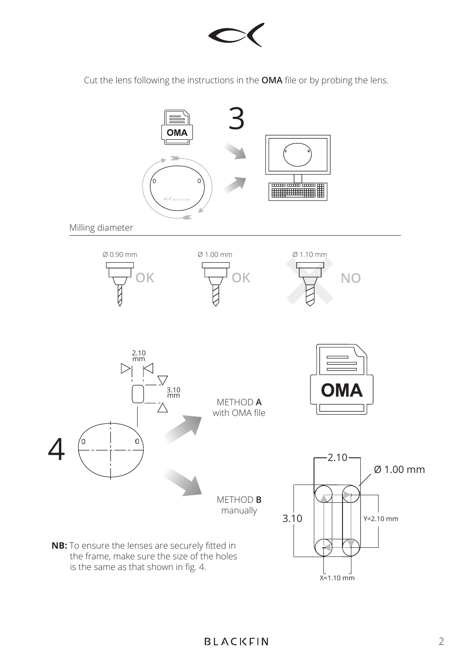

Cut the lens following the instructions in the **OMA** file or by probing the lens.

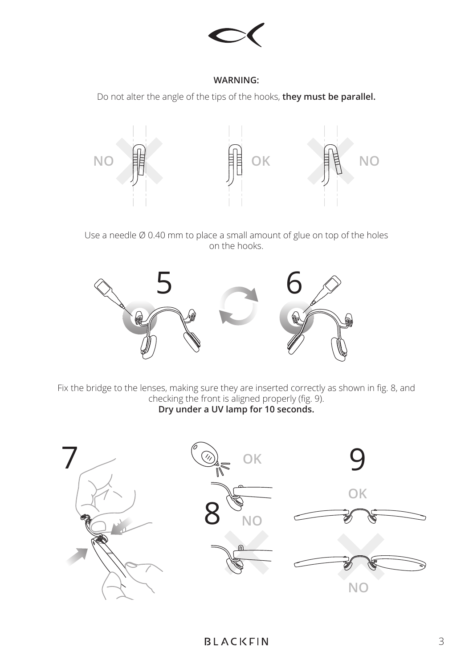

## **WARNING:**

Do not alter the angle of the tips of the hooks, **they must be parallel.**



Use a needle Ø 0.40 mm to place a small amount of glue on top of the holes on the hooks.



Fix the bridge to the lenses, making sure they are inserted correctly as shown in fig. 8, and checking the front is aligned properly (fig. 9). **Dry under a UV lamp for 10 seconds.**

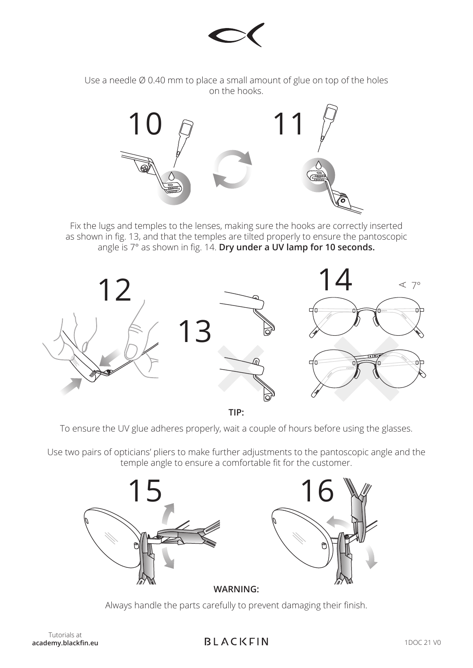

Use a needle Ø 0.40 mm to place a small amount of glue on top of the holes on the hooks.



Fix the lugs and temples to the lenses, making sure the hooks are correctly inserted as shown in fig. 13, and that the temples are tilted properly to ensure the pantoscopic angle is 7° as shown in fig. 14. **Dry under a UV lamp for 10 seconds.**



**TIP:**

To ensure the UV glue adheres properly, wait a couple of hours before using the glasses.

Use two pairs of opticians' pliers to make further adjustments to the pantoscopic angle and the temple angle to ensure a comfortable fit for the customer.



Always handle the parts carefully to prevent damaging their finish.